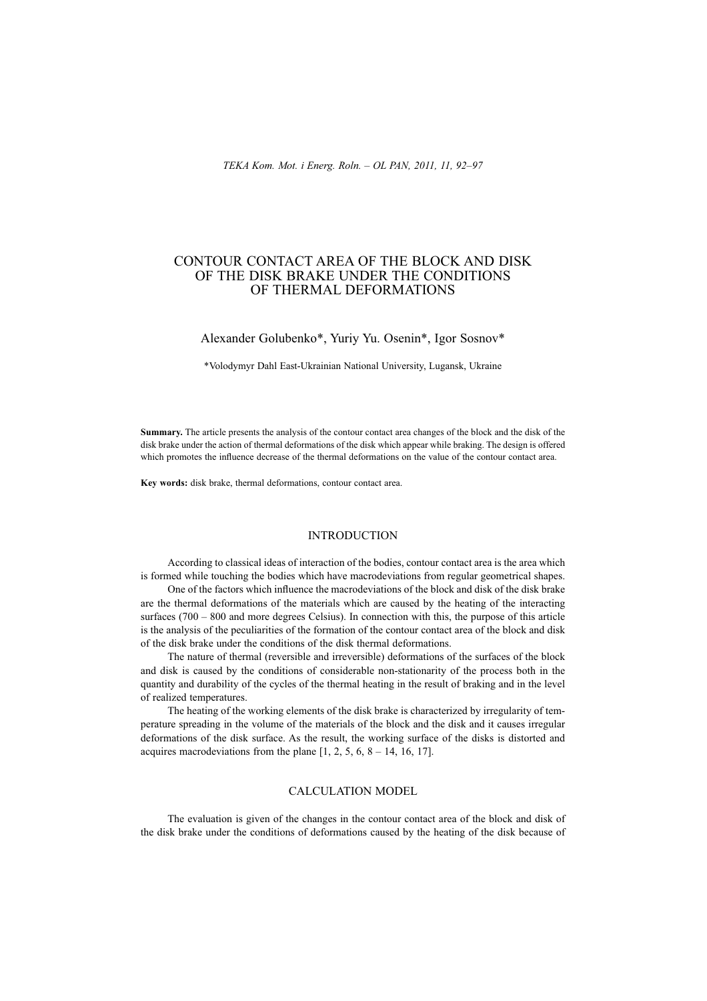# CONTOUR CONTACT AREA OF THE BLOCK AND DISK OF THE DISK BRAKE UNDER THE CONDITIONS OF THERMAL DEFORMATIONS

### Alexander Golubenko\*, Yuriy Yu. Osenin\*, Igor Sosnov\*

\*Volodymyr Dahl East-Ukrainian National University, Lugansk, Ukraine

**Summary.** The article presents the analysis of the contour contact area changes of the block and the disk of the disk brake under the action of thermal deformations of the disk which appear while braking. The design is offered which promotes the influence decrease of the thermal deformations on the value of the contour contact area.

**Key words:** disk brake, thermal deformations, contour contact area.

## INTRODUCTION

According to classical ideas of interaction of the bodies, contour contact area is the area which is formed while touching the bodies which have macrodeviations from regular geometrical shapes.

One of the factors which influence the macrodeviations of the block and disk of the disk brake are the thermal deformations of the materials which are caused by the heating of the interacting surfaces (700 – 800 and more degrees Celsius). In connection with this, the purpose of this article is the analysis of the peculiarities of the formation of the contour contact area of the block and disk of the disk brake under the conditions of the disk thermal deformations.

The nature of thermal (reversible and irreversible) deformations of the surfaces of the block and disk is caused by the conditions of considerable non-stationarity of the process both in the quantity and durability of the cycles of the thermal heating in the result of braking and in the level of realized temperatures.

The heating of the working elements of the disk brake is characterized by irregularity of temperature spreading in the volume of the materials of the block and the disk and it causes irregular deformations of the disk surface. As the result, the working surface of the disks is distorted and acquires macrodeviations from the plane  $[1, 2, 5, 6, 8 - 14, 16, 17]$ .

## CALCULATION MODEL

The evaluation is given of the changes in the contour contact area of the block and disk of the disk brake under the conditions of deformations caused by the heating of the disk because of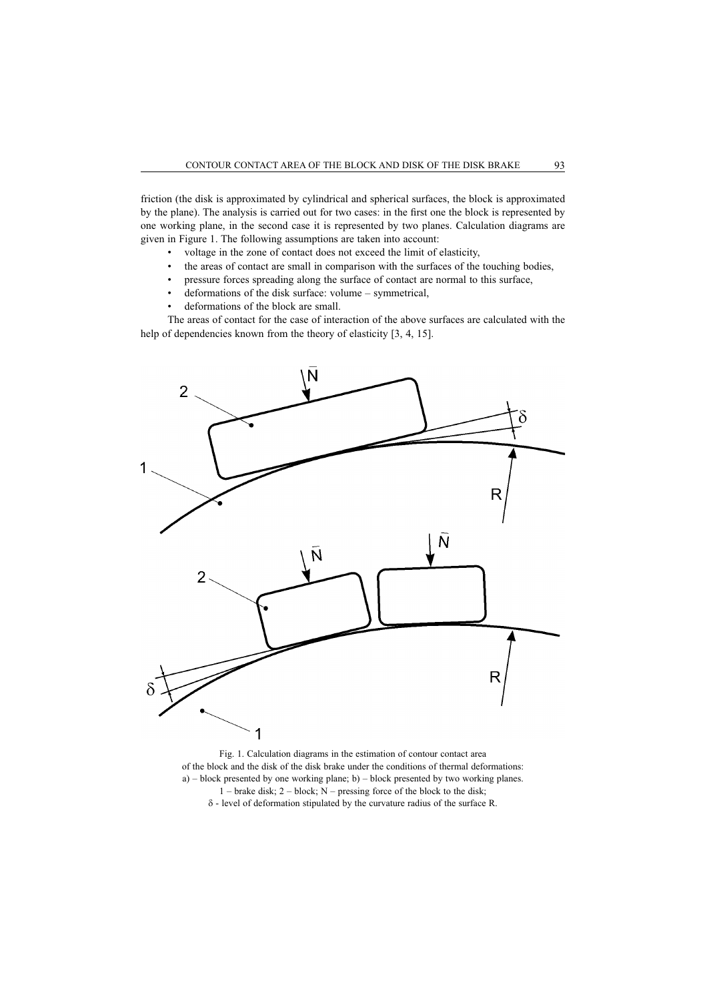friction (the disk is approximated by cylindrical and spherical surfaces, the block is approximated by the plane). The analysis is carried out for two cases: in the first one the block is represented by one working plane, in the second case it is represented by two planes. Calculation diagrams are given in Figure 1. The following assumptions are taken into account:

- voltage in the zone of contact does not exceed the limit of elasticity,
- the areas of contact are small in comparison with the surfaces of the touching bodies,
- pressure forces spreading along the surface of contact are normal to this surface,
- deformations of the disk surface: volume symmetrical,
- deformations of the block are small.

The areas of contact for the case of interaction of the above surfaces are calculated with the help of dependencies known from the theory of elasticity [3, 4, 15].



Fig. 1. Calculation diagrams in the estimation of contour contact area of the block and the disk of the disk brake under the conditions of thermal deformations: a) – block presented by one working plane; b) – block presented by two working planes. 1 – brake disk;  $2$  – block; N – pressing force of the block to the disk;  $\delta$  - level of deformation stipulated by the curvature radius of the surface R.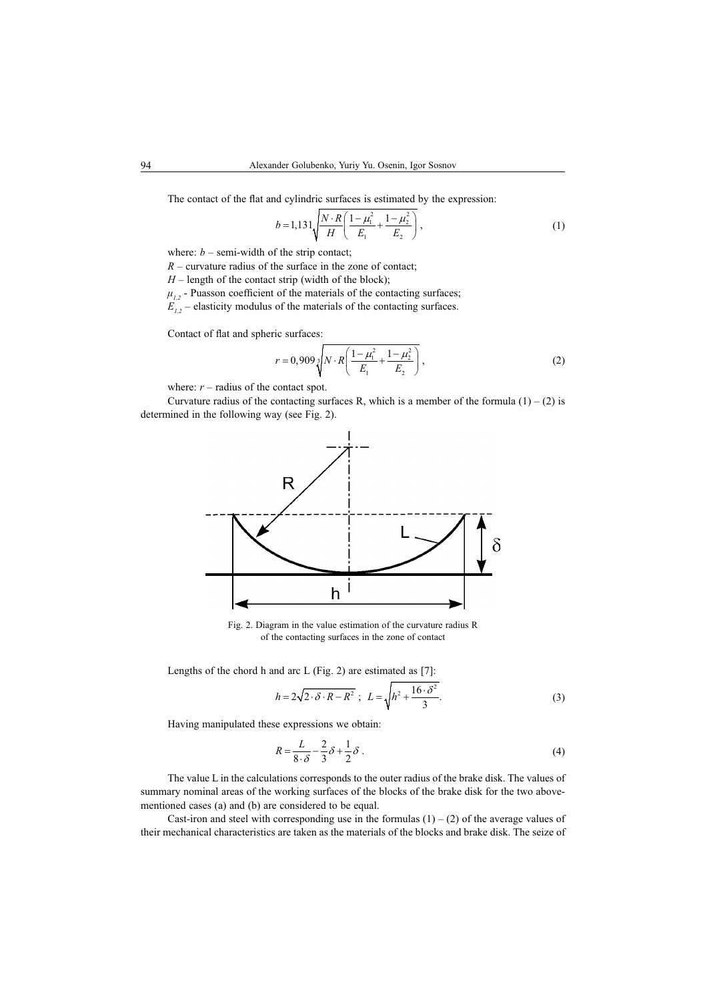The contact of the flat and cylindric surfaces is estimated by the expression:

$$
b = 1,131\sqrt{\frac{N \cdot R}{H} \left(\frac{1 - \mu_1^2}{E_1} + \frac{1 - \mu_2^2}{E_2}\right)},
$$
\n(1)

where:  $b$  – semi-width of the strip contact;

 $R$  – curvature radius of the surface in the zone of contact;

 $H$  – length of the contact strip (width of the block);

 $\mu_{1,2}$  - Puasson coefficient of the materials of the contacting surfaces;

 $E_{i}$ , – elasticity modulus of the materials of the contacting surfaces.

Contact of flat and spheric surfaces:

$$
r = 0,909 \sqrt[3]{N \cdot R \left( \frac{1 - \mu_1^2}{E_1} + \frac{1 - \mu_2^2}{E_2} \right)},
$$
 (2)

where:  $r$  – radius of the contact spot.

Curvature radius of the contacting surfaces R, which is a member of the formula  $(1) - (2)$  is determined in the following way (see Fig. 2).



Fig. 2. Diagram in the value estimation of the curvature radius R of the contacting surfaces in the zone of contact

Lengths of the chord h and arc L (Fig. 2) are estimated as [7]:

$$
h = 2\sqrt{2 \cdot \delta \cdot R - R^2} \; ; \; L = \sqrt{h^2 + \frac{16 \cdot \delta^2}{3}}.
$$

Having manipulated these expressions we obtain:

$$
R = \frac{L}{8 \cdot \delta} - \frac{2}{3} \delta + \frac{1}{2} \delta \tag{4}
$$

The value L in the calculations corresponds to the outer radius of the brake disk. The values of summary nominal areas of the working surfaces of the blocks of the brake disk for the two abovementioned cases (a) and (b) are considered to be equal.

Cast-iron and steel with corresponding use in the formulas  $(1) - (2)$  of the average values of their mechanical characteristics are taken as the materials of the blocks and brake disk. The seize of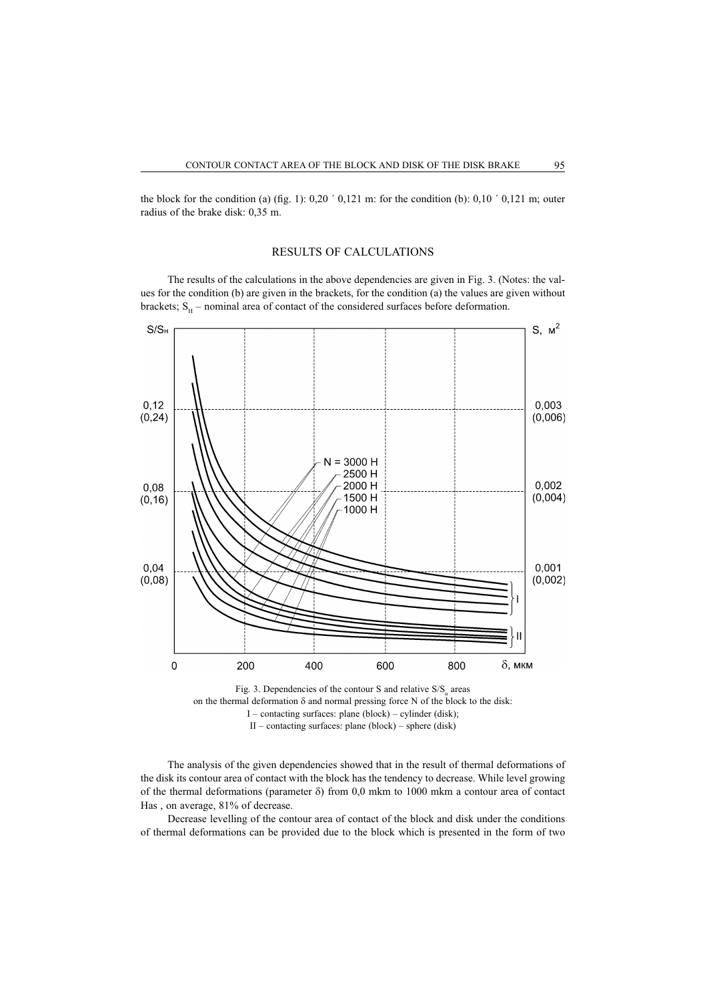the block for the condition (a) (fig. 1):  $0,20'$  0,121 m: for the condition (b):  $0,10'$  0,121 m; outer radius of the brake disk: 0,35 m.

#### RESULTS OF CALCULATIONS

The results of the calculations in the above dependencies are given in Fig. 3. (Notes: the values for the condition (b) are given in the brackets, for the condition (a) the values are given without brackets;  $S<sub>H</sub>$  – nominal area of contact of the considered surfaces before deformation.



Fig. 3. Dependencies of the contour S and relative  $S/S<sub>n</sub>$  areas on the thermal deformation  $\delta$  and normal pressing force N of the block to the disk: I – contacting surfaces: plane (block) – cylinder (disk);  $II$  – contacting surfaces: plane (block) – sphere (disk)

The analysis of the given dependencies showed that in the result of thermal deformations of the disk its contour area of contact with the block has the tendency to decrease. While level growing of the thermal deformations (parameter  $\delta$ ) from 0,0 mkm to 1000 mkm a contour area of contact Has , on average, 81% of decrease.

Decrease levelling of the contour area of contact of the block and disk under the conditions of thermal deformations can be provided due to the block which is presented in the form of two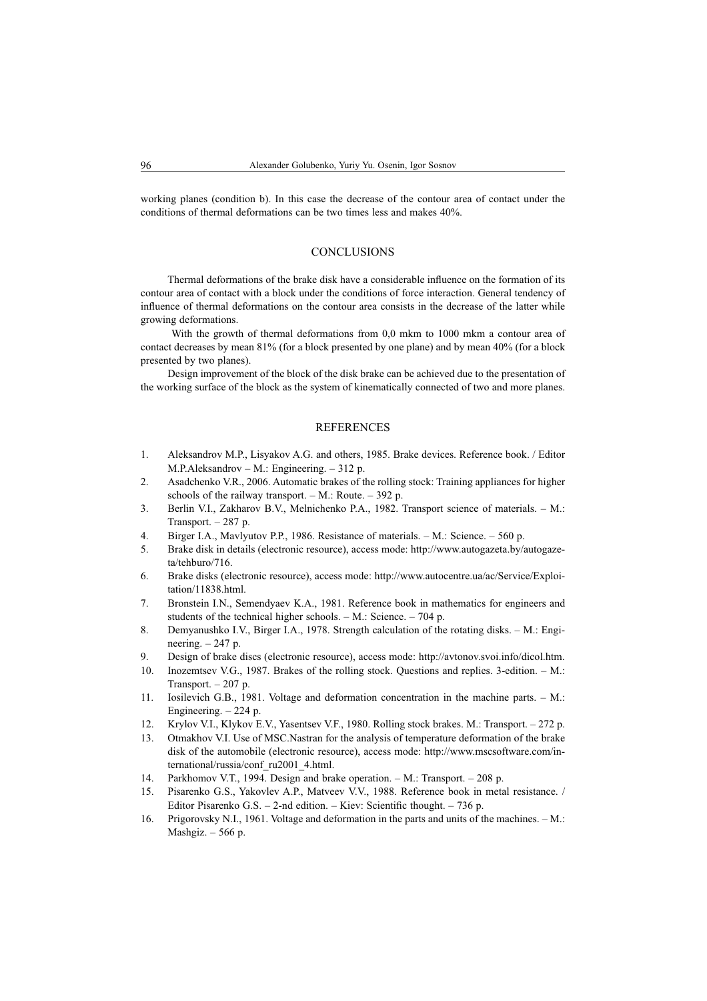working planes (condition b). In this case the decrease of the contour area of contact under the conditions of thermal deformations can be two times less and makes 40%.

### **CONCLUSIONS**

Thermal deformations of the brake disk have a considerable influence on the formation of its contour area of contact with a block under the conditions of force interaction. General tendency of influence of thermal deformations on the contour area consists in the decrease of the latter while growing deformations.

With the growth of thermal deformations from 0,0 mkm to 1000 mkm a contour area of contact decreases by mean 81% (for a block presented by one plane) and by mean 40% (for a block presented by two planes).

Design improvement of the block of the disk brake can be achieved due to the presentation of the working surface of the block as the system of kinematically connected of two and more planes.

### **REFERENCES**

- 1. Aleksandrov M.P., Lisyakov A.G. and others, 1985. Brake devices. Reference book. / Editor M.P.Aleksandrov – M.: Engineering. – 312 p.
- 2. Asadchenko V.R., 2006. Automatic brakes of the rolling stock: Training appliances for higher schools of the railway transport.  $- M$ .: Route.  $- 392 p$ .
- 3. Berlin V.I., Zakharov B.V., Melnichenko P.A., 1982. Transport science of materials. M.: Transport. – 287 p.
- 4. Birger I.A., Mavlyutov P.P., 1986. Resistance of materials. M.: Science. 560 p.
- 5. Brake disk in details (electronic resource), access mode: http://www.autogazeta.by/autogazeta/tehburo/716.
- 6. Brake disks (electronic resource), access mode: http://www.autocentre.ua/ac/Service/Exploitation/11838.html.
- 7. Bronstein I.N., Semendyaev K.A., 1981. Reference book in mathematics for engineers and students of the technical higher schools. – M.: Science. – 704 p.
- 8. Demyanushko I.V., Birger I.A., 1978. Strength calculation of the rotating disks. M.: Engineering.  $-247$  p.
- 9. Design of brake discs (electronic resource), access mode: http://avtonov.svoi.info/dicol.htm.
- 10. Inozemtsev V.G., 1987. Brakes of the rolling stock. Questions and replies. 3-edition. M.: Transport.  $-207$  p.
- 11. Iosilevich G.B., 1981. Voltage and deformation concentration in the machine parts. M.: Engineering. – 224 p.
- 12. Krylov V.I., Klykov E.V., Yasentsev V.F., 1980. Rolling stock brakes. M.: Transport. 272 p.
- 13. Otmakhov V.I. Use of MSC.Nastran for the analysis of temperature deformation of the brake disk of the automobile (electronic resource), access mode: http://www.mscsoftware.com/international/russia/conf\_ru2001\_4.html.
- 14. Parkhomov V.T., 1994. Design and brake operation. M.: Transport. 208 p.
- 15. Pisarenko G.S., Yakovlev A.P., Matveev V.V., 1988. Reference book in metal resistance. / Editor Pisarenko G.S. – 2-nd edition. – Kiev: Scientific thought. – 736 p.
- 16. Prigorovsky N.I., 1961. Voltage and deformation in the parts and units of the machines. M.: Mashgiz. – 566 p.